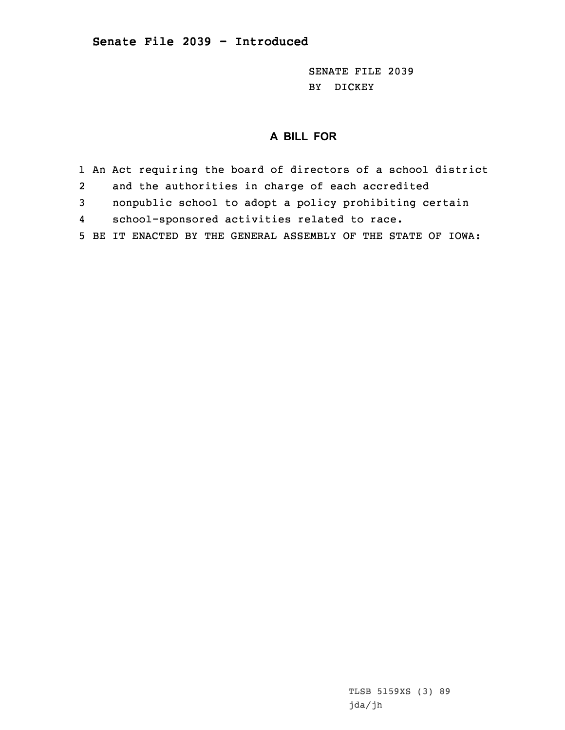SENATE FILE 2039 BY DICKEY

## **A BILL FOR**

1 An Act requiring the board of directors of <sup>a</sup> school district 2 and the authorities in charge of each accredited 3 nonpublic school to adopt <sup>a</sup> policy prohibiting certain 4 school-sponsored activities related to race. 5 BE IT ENACTED BY THE GENERAL ASSEMBLY OF THE STATE OF IOWA: